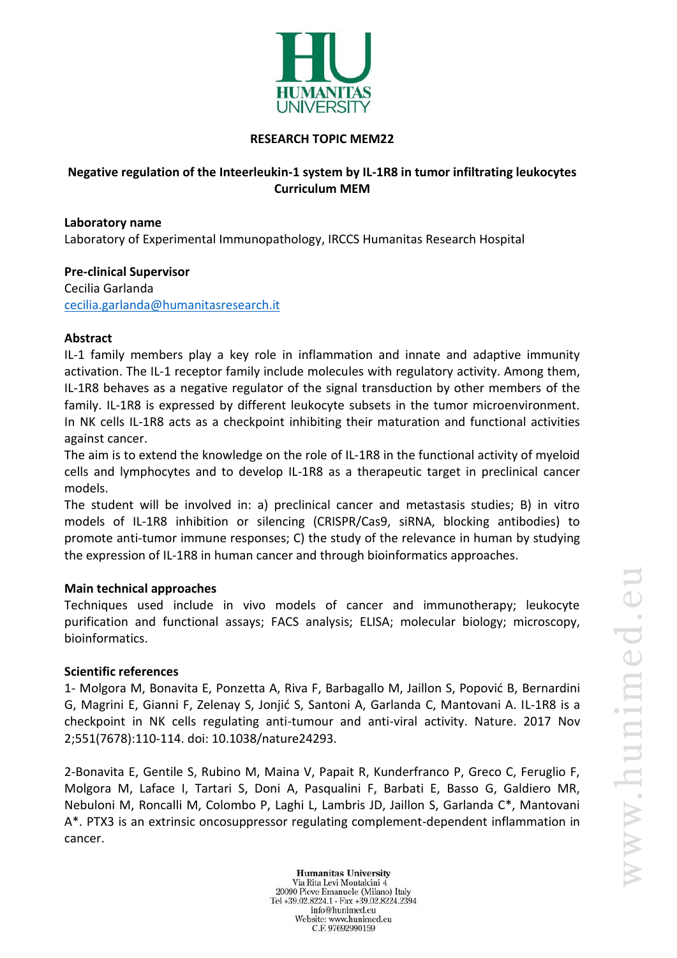

## **RESEARCH TOPIC MEM22**

# **Negative regulation of the Inteerleukin-1 system by IL-1R8 in tumor infiltrating leukocytes Curriculum MEM**

# **Laboratory name** Laboratory of Experimental Immunopathology, IRCCS Humanitas Research Hospital

#### **Pre-clinical Supervisor** Cecilia Garlanda

[cecilia.garlanda@humanitasresearch.it](mailto:cecilia.garlanda@humanitasresearch.it)

## **Abstract**

IL-1 family members play a key role in inflammation and innate and adaptive immunity activation. The IL-1 receptor family include molecules with regulatory activity. Among them, IL-1R8 behaves as a negative regulator of the signal transduction by other members of the family. IL-1R8 is expressed by different leukocyte subsets in the tumor microenvironment. In NK cells IL-1R8 acts as a checkpoint inhibiting their maturation and functional activities against cancer.

The aim is to extend the knowledge on the role of IL-1R8 in the functional activity of myeloid cells and lymphocytes and to develop IL-1R8 as a therapeutic target in preclinical cancer models.

The student will be involved in: a) preclinical cancer and metastasis studies; B) in vitro models of IL-1R8 inhibition or silencing (CRISPR/Cas9, siRNA, blocking antibodies) to promote anti-tumor immune responses; C) the study of the relevance in human by studying the expression of IL-1R8 in human cancer and through bioinformatics approaches.

## **Main technical approaches**

Techniques used include in vivo models of cancer and immunotherapy; leukocyte purification and functional assays; FACS analysis; ELISA; molecular biology; microscopy, bioinformatics.

## **Scientific references**

1- Molgora M, Bonavita E, Ponzetta A, Riva F, Barbagallo M, Jaillon S, Popović B, Bernardini G, Magrini E, Gianni F, Zelenay S, Jonjić S, Santoni A, Garlanda C, Mantovani A. IL-1R8 is a checkpoint in NK cells regulating anti-tumour and anti-viral activity. Nature. 2017 Nov 2;551(7678):110-114. doi: 10.1038/nature24293.

2-Bonavita E, Gentile S, Rubino M, Maina V, Papait R, Kunderfranco P, Greco C, Feruglio F, Molgora M, Laface I, Tartari S, Doni A, Pasqualini F, Barbati E, Basso G, Galdiero MR, Nebuloni M, Roncalli M, Colombo P, Laghi L, Lambris JD, Jaillon S, Garlanda C\*, Mantovani A\*. PTX3 is an extrinsic oncosuppressor regulating complement-dependent inflammation in cancer.

**Humanitas University** Via Rita Levi Montalcini 4 20090 Pieve Emanuele (Milano) Italy Tel +39.02.8224.1 - Fax +39.02.8224.2394 info@hunimed.eu Website: www.hunimed.eu C.F. 97692990159